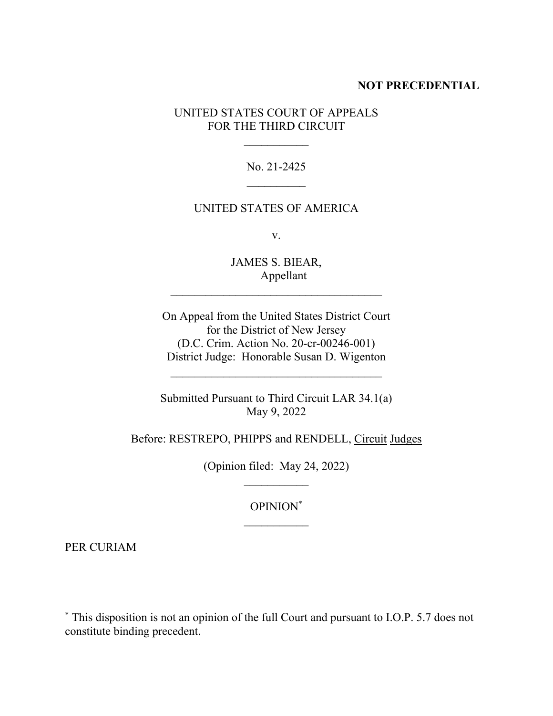## **NOT PRECEDENTIAL**

## UNITED STATES COURT OF APPEALS FOR THE THIRD CIRCUIT

No. 21-2425  $\mathcal{L}_\text{max}$ 

## UNITED STATES OF AMERICA

v.

JAMES S. BIEAR, Appellant  $\mathcal{L}_\text{max}$ 

On Appeal from the United States District Court for the District of New Jersey (D.C. Crim. Action No. 20-cr-00246-001) District Judge: Honorable Susan D. Wigenton

Submitted Pursuant to Third Circuit LAR 34.1(a) May 9, 2022

Before: RESTREPO, PHIPPS and RENDELL, Circuit Judges

(Opinion filed: May 24, 2022)

OPINION\*

PER CURIAM

<sup>\*</sup> This disposition is not an opinion of the full Court and pursuant to I.O.P. 5.7 does not constitute binding precedent.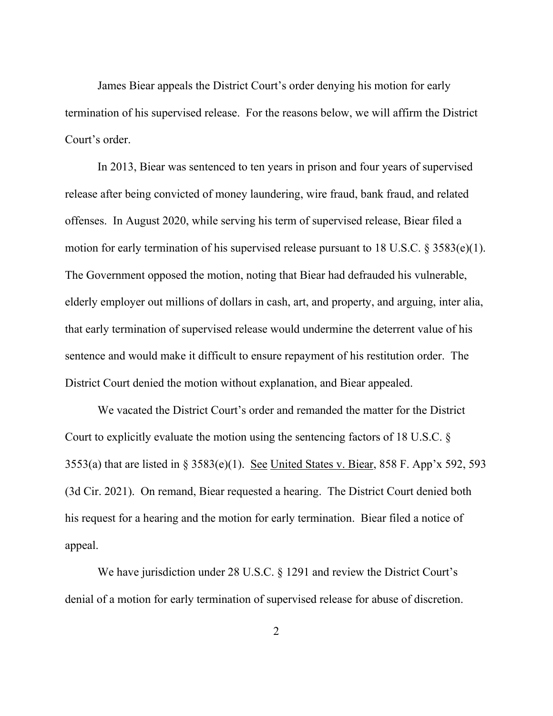James Biear appeals the District Court's order denying his motion for early termination of his supervised release. For the reasons below, we will affirm the District Court's order.

In 2013, Biear was sentenced to ten years in prison and four years of supervised release after being convicted of money laundering, wire fraud, bank fraud, and related offenses. In August 2020, while serving his term of supervised release, Biear filed a motion for early termination of his supervised release pursuant to 18 U.S.C. § 3583(e)(1). The Government opposed the motion, noting that Biear had defrauded his vulnerable, elderly employer out millions of dollars in cash, art, and property, and arguing, inter alia, that early termination of supervised release would undermine the deterrent value of his sentence and would make it difficult to ensure repayment of his restitution order. The District Court denied the motion without explanation, and Biear appealed.

We vacated the District Court's order and remanded the matter for the District Court to explicitly evaluate the motion using the sentencing factors of 18 U.S.C. § 3553(a) that are listed in § 3583(e)(1). See United States v. Biear, 858 F. App'x 592, 593 (3d Cir. 2021). On remand, Biear requested a hearing. The District Court denied both his request for a hearing and the motion for early termination. Biear filed a notice of appeal.

We have jurisdiction under 28 U.S.C. § 1291 and review the District Court's denial of a motion for early termination of supervised release for abuse of discretion.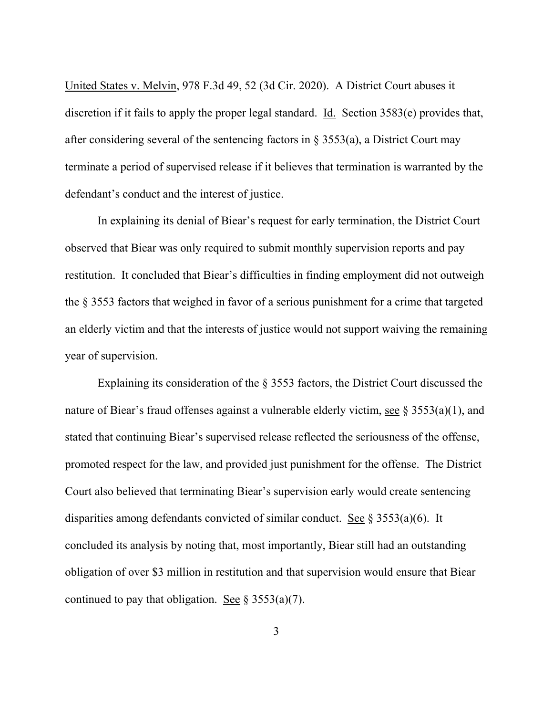United States v. Melvin, 978 F.3d 49, 52 (3d Cir. 2020). A District Court abuses it discretion if it fails to apply the proper legal standard. Id. Section 3583(e) provides that, after considering several of the sentencing factors in  $\S$  3553(a), a District Court may terminate a period of supervised release if it believes that termination is warranted by the defendant's conduct and the interest of justice.

In explaining its denial of Biear's request for early termination, the District Court observed that Biear was only required to submit monthly supervision reports and pay restitution. It concluded that Biear's difficulties in finding employment did not outweigh the § 3553 factors that weighed in favor of a serious punishment for a crime that targeted an elderly victim and that the interests of justice would not support waiving the remaining year of supervision.

Explaining its consideration of the § 3553 factors, the District Court discussed the nature of Biear's fraud offenses against a vulnerable elderly victim, see § 3553(a)(1), and stated that continuing Biear's supervised release reflected the seriousness of the offense, promoted respect for the law, and provided just punishment for the offense. The District Court also believed that terminating Biear's supervision early would create sentencing disparities among defendants convicted of similar conduct. See § 3553(a)(6). It concluded its analysis by noting that, most importantly, Biear still had an outstanding obligation of over \$3 million in restitution and that supervision would ensure that Biear continued to pay that obligation. See  $\S 3553(a)(7)$ .